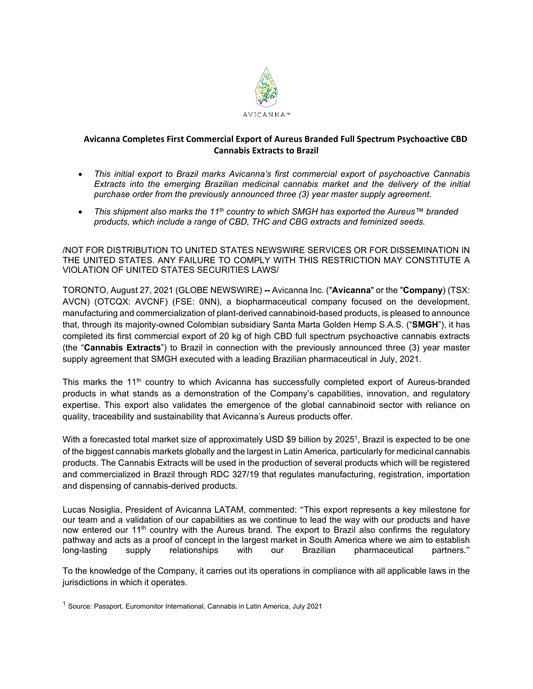

# **Avicanna Completes First Commercial Export of Aureus Branded Full Spectrum Psychoactive CBD Cannabis Extracts to Brazil**

- *This initial export to Brazil marks Avicanna's first commercial export of psychoactive Cannabis Extracts into the emerging Brazilian medicinal cannabis market and the delivery of the initial purchase order from the previously announced three (3) year master supply agreement.*
- *This shipment also marks the 11th country to which SMGH has exported the Aureus™ branded products, which include a range of CBD, THC and CBG extracts and feminized seeds.*

/NOT FOR DISTRIBUTION TO UNITED STATES NEWSWIRE SERVICES OR FOR DISSEMINATION IN THE UNITED STATES. ANY FAILURE TO COMPLY WITH THIS RESTRICTION MAY CONSTITUTE A VIOLATION OF UNITED STATES SECURITIES LAWS/

TORONTO, August 27, 2021 (GLOBE NEWSWIRE) **--** Avicanna Inc. ("**Avicanna**" or the "**Company**) (TSX: AVCN) (OTCQX: AVCNF) (FSE: 0NN), a biopharmaceutical company focused on the development, manufacturing and commercialization of plant-derived cannabinoid-based products, is pleased to announce that, through its majority-owned Colombian subsidiary Santa Marta Golden Hemp S.A.S. ("**SMGH**"), it has completed its first commercial export of 20 kg of high CBD full spectrum psychoactive cannabis extracts (the "**Cannabis Extracts**") to Brazil in connection with the previously announced three (3) year master supply agreement that SMGH executed with a leading Brazilian pharmaceutical in July, 2021.

This marks the 11<sup>th</sup> country to which Avicanna has successfully completed export of Aureus-branded products in what stands as a demonstration of the Company's capabilities, innovation, and regulatory expertise. This export also validates the emergence of the global cannabinoid sector with reliance on quality, traceability and sustainability that Avicanna's Aureus products offer.

With a forecasted total market size of approximately USD \$9 billion by 2025<sup>1</sup>, Brazil is expected to be one of the biggest cannabis markets globally and the largest in Latin America, particularly for medicinal cannabis products. The Cannabis Extracts will be used in the production of several products which will be registered and commercialized in Brazil through RDC 327/19 that regulates manufacturing, registration, importation and dispensing of cannabis-derived products.

Lucas Nosiglia, President of Avicanna LATAM, commented: "This export represents a key milestone for our team and a validation of our capabilities as we continue to lead the way with our products and have now entered our 11<sup>th</sup> country with the Aureus brand. The export to Brazil also confirms the regulatory pathway and acts as a proof of concept in the largest market in South America where we aim to establish long-<br>long-lasting supply relationships with our Brazilian pharmaceutical partners." long-lasting supply relationships with our Brazilian pharmaceutical partners."

To the knowledge of the Company, it carries out its operations in compliance with all applicable laws in the jurisdictions in which it operates.

<sup>&</sup>lt;sup>1</sup> Source: Passport, Euromonitor International, Cannabis in Latin America, July 2021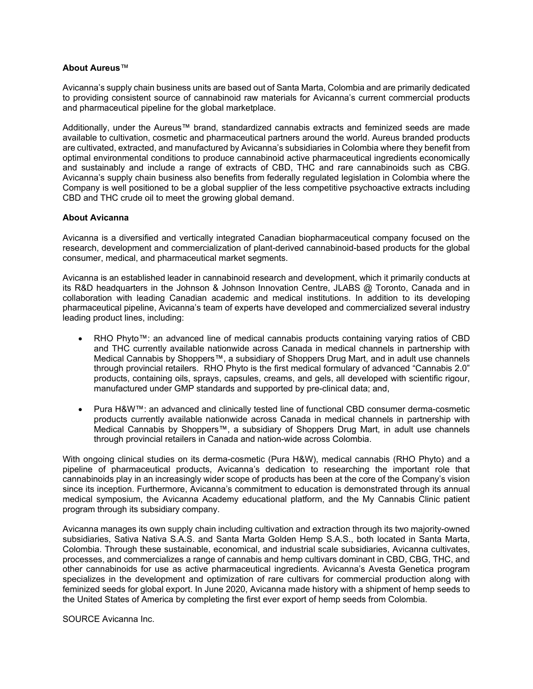## **About Aureus**™

Avicanna's supply chain business units are based out of Santa Marta, Colombia and are primarily dedicated to providing consistent source of cannabinoid raw materials for Avicanna's current commercial products and pharmaceutical pipeline for the global marketplace.

Additionally, under the Aureus™ brand, standardized cannabis extracts and feminized seeds are made available to cultivation, cosmetic and pharmaceutical partners around the world. Aureus branded products are cultivated, extracted, and manufactured by Avicanna's subsidiaries in Colombia where they benefit from optimal environmental conditions to produce cannabinoid active pharmaceutical ingredients economically and sustainably and include a range of extracts of CBD, THC and rare cannabinoids such as CBG. Avicanna's supply chain business also benefits from federally regulated legislation in Colombia where the Company is well positioned to be a global supplier of the less competitive psychoactive extracts including CBD and THC crude oil to meet the growing global demand.

## **About Avicanna**

Avicanna is a diversified and vertically integrated Canadian biopharmaceutical company focused on the research, development and commercialization of plant-derived cannabinoid-based products for the global consumer, medical, and pharmaceutical market segments.

Avicanna is an established leader in cannabinoid research and development, which it primarily conducts at its R&D headquarters in the Johnson & Johnson Innovation Centre, JLABS @ Toronto, Canada and in collaboration with leading Canadian academic and medical institutions. In addition to its developing pharmaceutical pipeline, Avicanna's team of experts have developed and commercialized several industry leading product lines, including:

- RHO Phyto™: an advanced line of medical cannabis products containing varying ratios of CBD and THC currently available nationwide across Canada in medical channels in partnership with Medical Cannabis by Shoppers™, a subsidiary of Shoppers Drug Mart, and in adult use channels through provincial retailers. RHO Phyto is the first medical formulary of advanced "Cannabis 2.0" products, containing oils, sprays, capsules, creams, and gels, all developed with scientific rigour, manufactured under GMP standards and supported by pre-clinical data; and,
- Pura H&W™: an advanced and clinically tested line of functional CBD consumer derma-cosmetic products currently available nationwide across Canada in medical channels in partnership with Medical Cannabis by Shoppers™, a subsidiary of Shoppers Drug Mart, in adult use channels through provincial retailers in Canada and nation-wide across Colombia.

With ongoing clinical studies on its derma-cosmetic (Pura H&W), medical cannabis (RHO Phyto) and a pipeline of pharmaceutical products, Avicanna's dedication to researching the important role that cannabinoids play in an increasingly wider scope of products has been at the core of the Company's vision since its inception. Furthermore, Avicanna's commitment to education is demonstrated through its annual medical symposium, the Avicanna Academy educational platform, and the My Cannabis Clinic patient program through its subsidiary company.

Avicanna manages its own supply chain including cultivation and extraction through its two majority-owned subsidiaries, Sativa Nativa S.A.S. and Santa Marta Golden Hemp S.A.S., both located in Santa Marta, Colombia. Through these sustainable, economical, and industrial scale subsidiaries, Avicanna cultivates, processes, and commercializes a range of cannabis and hemp cultivars dominant in CBD, CBG, THC, and other cannabinoids for use as active pharmaceutical ingredients. Avicanna's Avesta Genetica program specializes in the development and optimization of rare cultivars for commercial production along with feminized seeds for global export. In June 2020, Avicanna made history with a shipment of hemp seeds to the United States of America by completing the first ever export of hemp seeds from Colombia.

SOURCE Avicanna Inc.